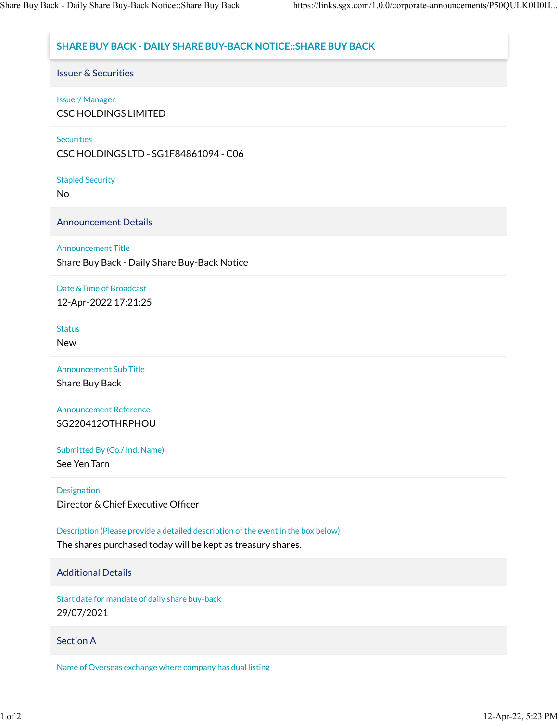# **SHARE BUY BACK - DAILY SHARE BUY-BACK NOTICE::SHARE BUY BACK**

Issuer & Securities

#### Issuer/ Manager

CSC HOLDINGS LIMITED

#### **Securities**

CSC HOLDINGS LTD - SG1F84861094 - C06

Stapled Security

No

Announcement Details

### Announcement Title

Share Buy Back - Daily Share Buy-Back Notice

## Date &Time of Broadcast 12-Apr-2022 17:21:25

#### **Status**

New

Announcement Sub Title

Share Buy Back

Announcement Reference SG220412OTHRPHOU

Submitted By (Co./ Ind. Name)

See Yen Tarn

Designation

Director & Chief Executive Officer

Description (Please provide a detailed description of the event in the box below)

The shares purchased today will be kept as treasury shares.

# Additional Details

Start date for mandate of daily share buy-back 29/07/2021

# Section A

Name of Overseas exchange where company has dual listing